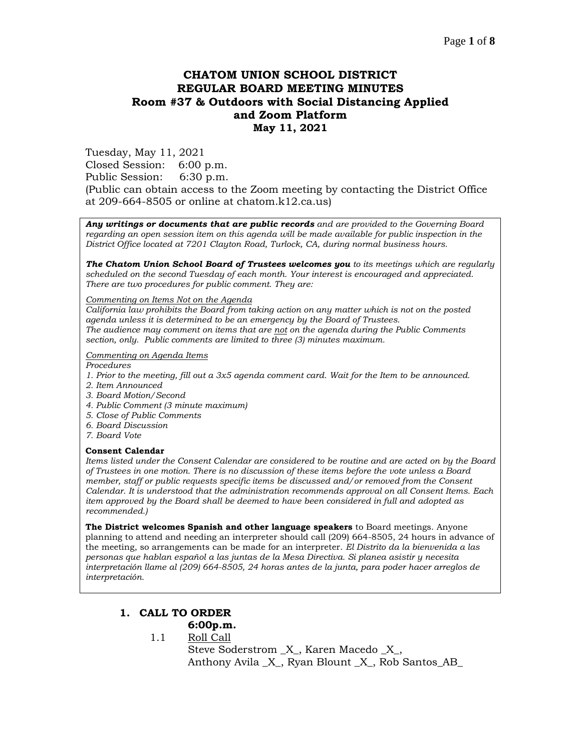# **CHATOM UNION SCHOOL DISTRICT REGULAR BOARD MEETING MINUTES Room #37 & Outdoors with Social Distancing Applied and Zoom Platform May 11, 2021**

Tuesday, May 11, 2021 Closed Session: 6:00 p.m. Public Session: 6:30 p.m. (Public can obtain access to the Zoom meeting by contacting the District Office at 209-664-8505 or online at chatom.k12.ca.us)

*Any writings or documents that are public records and are provided to the Governing Board regarding an open session item on this agenda will be made available for public inspection in the District Office located at 7201 Clayton Road, Turlock, CA, during normal business hours.*

*The Chatom Union School Board of Trustees welcomes you to its meetings which are regularly scheduled on the second Tuesday of each month. Your interest is encouraged and appreciated. There are two procedures for public comment. They are:*

#### *Commenting on Items Not on the Agenda*

*California law prohibits the Board from taking action on any matter which is not on the posted agenda unless it is determined to be an emergency by the Board of Trustees. The audience may comment on items that are not on the agenda during the Public Comments section, only. Public comments are limited to three (3) minutes maximum.*

#### *Commenting on Agenda Items*

*Procedures* 

- *1. Prior to the meeting, fill out a 3x5 agenda comment card. Wait for the Item to be announced.*
- *2. Item Announced*
- *3. Board Motion/Second*
- *4. Public Comment (3 minute maximum)*
- *5. Close of Public Comments*
- *6. Board Discussion*
- *7. Board Vote*

#### **Consent Calendar**

*Items listed under the Consent Calendar are considered to be routine and are acted on by the Board of Trustees in one motion. There is no discussion of these items before the vote unless a Board member, staff or public requests specific items be discussed and/or removed from the Consent Calendar. It is understood that the administration recommends approval on all Consent Items. Each item approved by the Board shall be deemed to have been considered in full and adopted as recommended.)*

**The District welcomes Spanish and other language speakers** to Board meetings. Anyone planning to attend and needing an interpreter should call (209) 664-8505, 24 hours in advance of the meeting, so arrangements can be made for an interpreter. *El Distrito da la bienvenida a las personas que hablan español a las juntas de la Mesa Directiva. Si planea asistir y necesita interpretación llame al (209) 664-8505, 24 horas antes de la junta, para poder hacer arreglos de interpretación.*

### **1. CALL TO ORDER**

# **6:00p.m.**

1.1 Roll Call

Steve Soderstrom \_X\_, Karen Macedo \_X\_, Anthony Avila \_X\_, Ryan Blount \_X\_, Rob Santos\_AB\_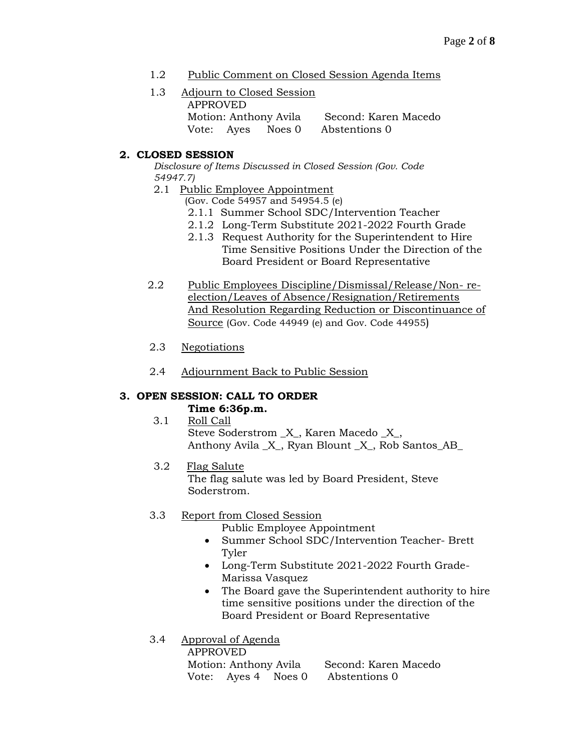- 1.2 Public Comment on Closed Session Agenda Items
- 1.3 Adjourn to Closed Session APPROVED Motion: Anthony Avila Second: Karen Macedo Vote: Ayes Noes 0 Abstentions 0

# **2. CLOSED SESSION**

*Disclosure of Items Discussed in Closed Session (Gov. Code 54947.7)*

2.1 Public Employee Appointment

(Gov. Code 54957 and 54954.5 (e)

- 2.1.1 Summer School SDC/Intervention Teacher
- 2.1.2 Long-Term Substitute 2021-2022 Fourth Grade
- 2.1.3 Request Authority for the Superintendent to Hire Time Sensitive Positions Under the Direction of the Board President or Board Representative
- 2.2 Public Employees Discipline/Dismissal/Release/Non- reelection/Leaves of Absence/Resignation/Retirements And Resolution Regarding Reduction or Discontinuance of Source (Gov. Code 44949 (e) and Gov. Code 44955)
- 2.3 Negotiations
- 2.4 Adjournment Back to Public Session

# **3. OPEN SESSION: CALL TO ORDER**

### **Time 6:36p.m.**

- 3.1 Roll Call Steve Soderstrom \_X\_, Karen Macedo \_X\_, Anthony Avila  $X$ , Ryan Blount  $X$ , Rob Santos AB
- 3.2 Flag Salute The flag salute was led by Board President, Steve Soderstrom.

# 3.3 Report from Closed Session

Public Employee Appointment

- Summer School SDC/Intervention Teacher- Brett Tyler
- Long-Term Substitute 2021-2022 Fourth Grade-Marissa Vasquez
- The Board gave the Superintendent authority to hire time sensitive positions under the direction of the Board President or Board Representative

### 3.4 Approval of Agenda

| APPROVED              |  |  |                                   |
|-----------------------|--|--|-----------------------------------|
| Motion: Anthony Avila |  |  | Second: Karen Macedo              |
|                       |  |  | Vote: Ayes 4 Noes 0 Abstentions 0 |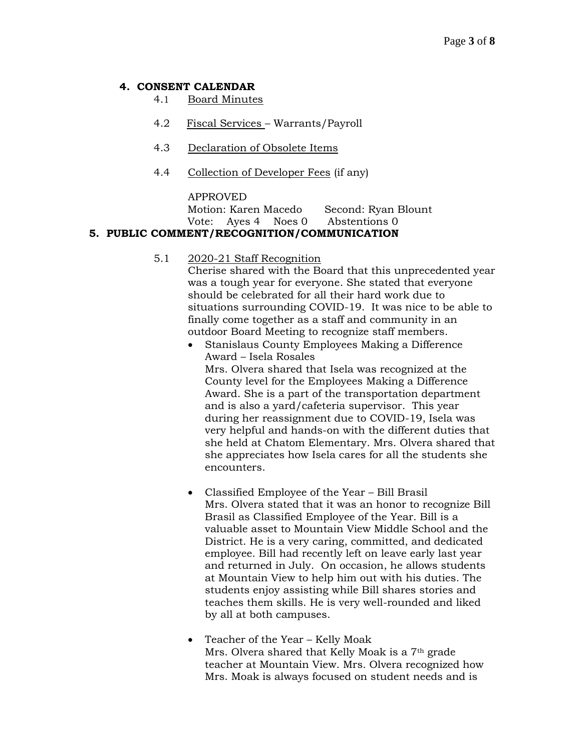# **4. CONSENT CALENDAR**

- 4.1 Board Minutes
- 4.2 Fiscal Services Warrants/Payroll
- 4.3 Declaration of Obsolete Items
- 4.4 Collection of Developer Fees (if any)

#### APPROVED

Motion: Karen Macedo Second: Ryan Blount Vote: Ayes 4 Noes 0 Abstentions 0

# **5. PUBLIC COMMENT/RECOGNITION/COMMUNICATION**

### 5.1 2020-21 Staff Recognition

Cherise shared with the Board that this unprecedented year was a tough year for everyone. She stated that everyone should be celebrated for all their hard work due to situations surrounding COVID-19. It was nice to be able to finally come together as a staff and community in an outdoor Board Meeting to recognize staff members.

- Stanislaus County Employees Making a Difference Award – Isela Rosales Mrs. Olvera shared that Isela was recognized at the County level for the Employees Making a Difference Award. She is a part of the transportation department and is also a yard/cafeteria supervisor. This year during her reassignment due to COVID-19, Isela was very helpful and hands-on with the different duties that she held at Chatom Elementary. Mrs. Olvera shared that she appreciates how Isela cares for all the students she encounters.
- Classified Employee of the Year Bill Brasil Mrs. Olvera stated that it was an honor to recognize Bill Brasil as Classified Employee of the Year. Bill is a valuable asset to Mountain View Middle School and the District. He is a very caring, committed, and dedicated employee. Bill had recently left on leave early last year and returned in July. On occasion, he allows students at Mountain View to help him out with his duties. The students enjoy assisting while Bill shares stories and teaches them skills. He is very well-rounded and liked by all at both campuses.
- Teacher of the Year Kelly Moak Mrs. Olvera shared that Kelly Moak is a 7th grade teacher at Mountain View. Mrs. Olvera recognized how Mrs. Moak is always focused on student needs and is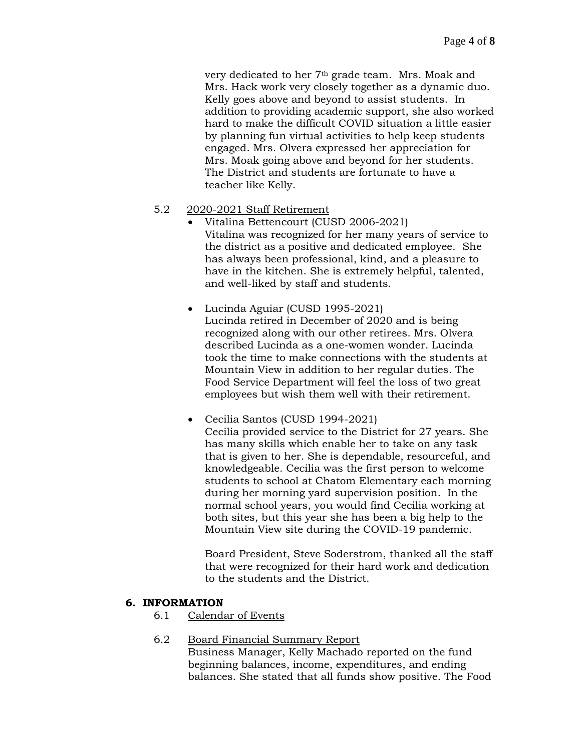very dedicated to her 7th grade team. Mrs. Moak and Mrs. Hack work very closely together as a dynamic duo. Kelly goes above and beyond to assist students. In addition to providing academic support, she also worked hard to make the difficult COVID situation a little easier by planning fun virtual activities to help keep students engaged. Mrs. Olvera expressed her appreciation for Mrs. Moak going above and beyond for her students. The District and students are fortunate to have a teacher like Kelly.

### 5.2 2020-2021 Staff Retirement

- Vitalina Bettencourt (CUSD 2006-2021) Vitalina was recognized for her many years of service to the district as a positive and dedicated employee. She has always been professional, kind, and a pleasure to have in the kitchen. She is extremely helpful, talented, and well-liked by staff and students.
- Lucinda Aguiar (CUSD 1995-2021) Lucinda retired in December of 2020 and is being recognized along with our other retirees. Mrs. Olvera described Lucinda as a one-women wonder. Lucinda took the time to make connections with the students at Mountain View in addition to her regular duties. The Food Service Department will feel the loss of two great employees but wish them well with their retirement.
- Cecilia Santos (CUSD 1994-2021) Cecilia provided service to the District for 27 years. She has many skills which enable her to take on any task that is given to her. She is dependable, resourceful, and knowledgeable. Cecilia was the first person to welcome students to school at Chatom Elementary each morning during her morning yard supervision position. In the normal school years, you would find Cecilia working at both sites, but this year she has been a big help to the Mountain View site during the COVID-19 pandemic.

Board President, Steve Soderstrom, thanked all the staff that were recognized for their hard work and dedication to the students and the District.

### **6. INFORMATION**

6.1 Calendar of Events

### 6.2 Board Financial Summary Report

Business Manager, Kelly Machado reported on the fund beginning balances, income, expenditures, and ending balances. She stated that all funds show positive. The Food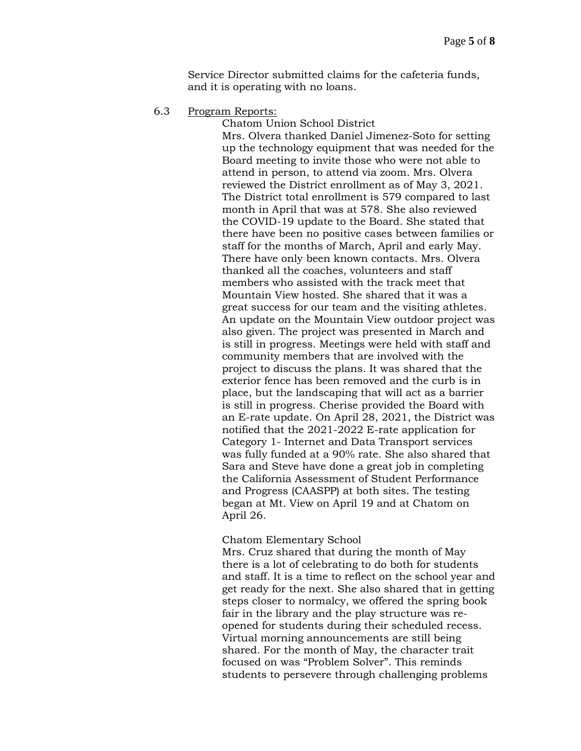Service Director submitted claims for the cafeteria funds, and it is operating with no loans.

6.3 Program Reports:

Chatom Union School District Mrs. Olvera thanked Daniel Jimenez-Soto for setting up the technology equipment that was needed for the Board meeting to invite those who were not able to attend in person, to attend via zoom. Mrs. Olvera reviewed the District enrollment as of May 3, 2021. The District total enrollment is 579 compared to last month in April that was at 578. She also reviewed the COVID-19 update to the Board. She stated that there have been no positive cases between families or staff for the months of March, April and early May. There have only been known contacts. Mrs. Olvera thanked all the coaches, volunteers and staff members who assisted with the track meet that Mountain View hosted. She shared that it was a great success for our team and the visiting athletes. An update on the Mountain View outdoor project was also given. The project was presented in March and is still in progress. Meetings were held with staff and community members that are involved with the project to discuss the plans. It was shared that the exterior fence has been removed and the curb is in place, but the landscaping that will act as a barrier is still in progress. Cherise provided the Board with an E-rate update. On April 28, 2021, the District was notified that the 2021-2022 E-rate application for Category 1- Internet and Data Transport services was fully funded at a 90% rate. She also shared that Sara and Steve have done a great job in completing the California Assessment of Student Performance and Progress (CAASPP) at both sites. The testing began at Mt. View on April 19 and at Chatom on April 26.

#### Chatom Elementary School

Mrs. Cruz shared that during the month of May there is a lot of celebrating to do both for students and staff. It is a time to reflect on the school year and get ready for the next. She also shared that in getting steps closer to normalcy, we offered the spring book fair in the library and the play structure was reopened for students during their scheduled recess. Virtual morning announcements are still being shared. For the month of May, the character trait focused on was "Problem Solver". This reminds students to persevere through challenging problems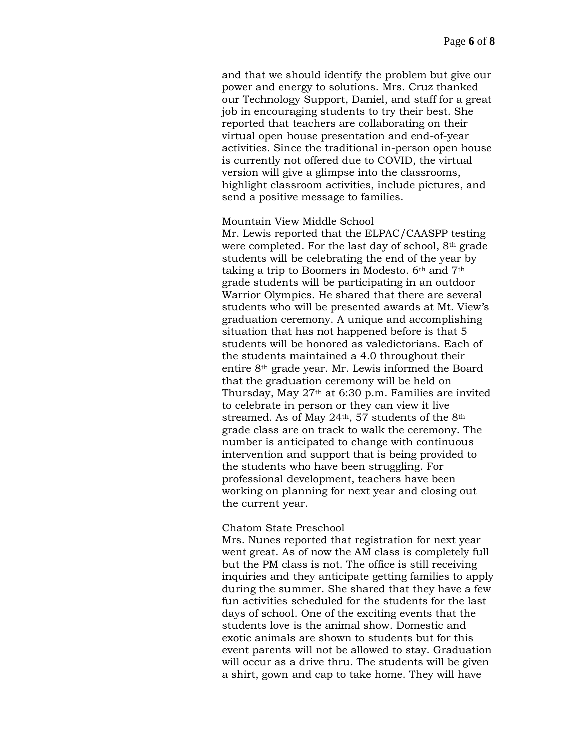and that we should identify the problem but give our power and energy to solutions. Mrs. Cruz thanked our Technology Support, Daniel, and staff for a great job in encouraging students to try their best. She reported that teachers are collaborating on their virtual open house presentation and end-of-year activities. Since the traditional in-person open house is currently not offered due to COVID, the virtual version will give a glimpse into the classrooms, highlight classroom activities, include pictures, and send a positive message to families.

#### Mountain View Middle School

Mr. Lewis reported that the ELPAC/CAASPP testing were completed. For the last day of school, 8th grade students will be celebrating the end of the year by taking a trip to Boomers in Modesto. 6th and 7th grade students will be participating in an outdoor Warrior Olympics. He shared that there are several students who will be presented awards at Mt. View's graduation ceremony. A unique and accomplishing situation that has not happened before is that 5 students will be honored as valedictorians. Each of the students maintained a 4.0 throughout their entire 8th grade year. Mr. Lewis informed the Board that the graduation ceremony will be held on Thursday, May 27th at 6:30 p.m. Families are invited to celebrate in person or they can view it live streamed. As of May  $24<sup>th</sup>$ , 57 students of the  $8<sup>th</sup>$ grade class are on track to walk the ceremony. The number is anticipated to change with continuous intervention and support that is being provided to the students who have been struggling. For professional development, teachers have been working on planning for next year and closing out the current year.

#### Chatom State Preschool

Mrs. Nunes reported that registration for next year went great. As of now the AM class is completely full but the PM class is not. The office is still receiving inquiries and they anticipate getting families to apply during the summer. She shared that they have a few fun activities scheduled for the students for the last days of school. One of the exciting events that the students love is the animal show. Domestic and exotic animals are shown to students but for this event parents will not be allowed to stay. Graduation will occur as a drive thru. The students will be given a shirt, gown and cap to take home. They will have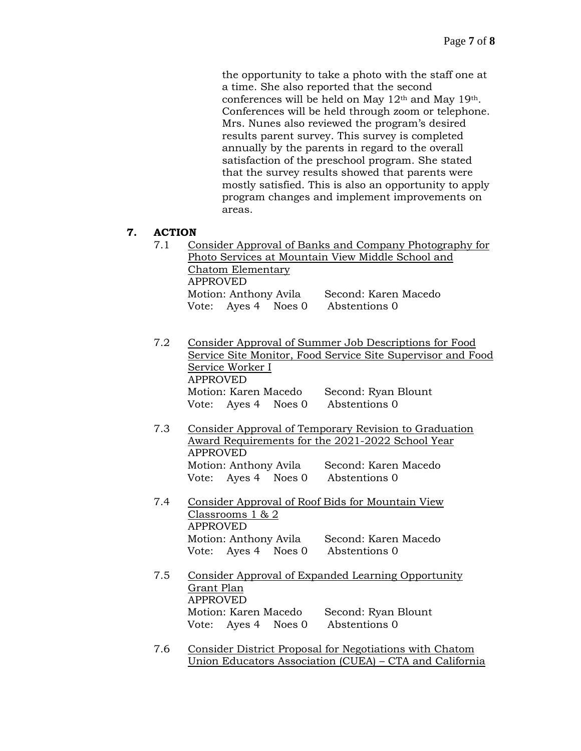the opportunity to take a photo with the staff one at a time. She also reported that the second conferences will be held on May 12th and May 19th. Conferences will be held through zoom or telephone. Mrs. Nunes also reviewed the program's desired results parent survey. This survey is completed annually by the parents in regard to the overall satisfaction of the preschool program. She stated that the survey results showed that parents were mostly satisfied. This is also an opportunity to apply program changes and implement improvements on areas.

# **7. ACTION**

- 7.1 Consider Approval of Banks and Company Photography for Photo Services at Mountain View Middle School and Chatom Elementary APPROVED Motion: Anthony Avila Second: Karen Macedo Vote: Ayes 4 Noes 0 Abstentions 0
- 7.2 Consider Approval of Summer Job Descriptions for Food Service Site Monitor, Food Service Site Supervisor and Food Service Worker I APPROVED Motion: Karen Macedo Second: Ryan Blount Vote: Ayes 4 Noes 0 Abstentions 0
- 7.3 Consider Approval of Temporary Revision to Graduation Award Requirements for the 2021-2022 School Year APPROVED Motion: Anthony Avila Second: Karen Macedo Vote: Ayes 4 Noes 0 Abstentions 0
- 7.4 Consider Approval of Roof Bids for Mountain View Classrooms 1 & 2 APPROVED Motion: Anthony Avila Second: Karen Macedo Vote: Ayes 4 Noes 0 Abstentions 0
- 7.5 Consider Approval of Expanded Learning Opportunity Grant Plan APPROVED Motion: Karen Macedo Second: Ryan Blount Vote: Ayes 4 Noes 0 Abstentions 0
- 7.6 Consider District Proposal for Negotiations with Chatom Union Educators Association (CUEA) – CTA and California